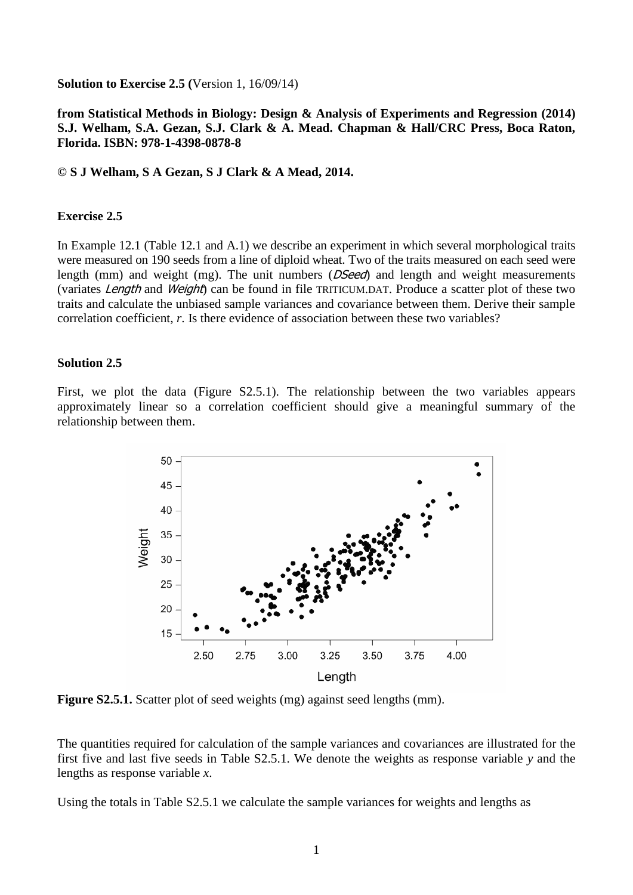**Solution to Exercise 2.5 (**Version 1, 16/09/14)

## **from Statistical Methods in Biology: Design & Analysis of Experiments and Regression (2014) S.J. Welham, S.A. Gezan, S.J. Clark & A. Mead. Chapman & Hall/CRC Press, Boca Raton, Florida. ISBN: 978-1-4398-0878-8**

## **© S J Welham, S A Gezan, S J Clark & A Mead, 2014.**

## **Exercise 2.5**

In Example 12.1 (Table 12.1 and A.1) we describe an experiment in which several morphological traits were measured on 190 seeds from a line of diploid wheat. Two of the traits measured on each seed were length (mm) and weight (mg). The unit numbers (*DSeed*) and length and weight measurements (variates Length and Weight) can be found in file TRITICUM.DAT. Produce a scatter plot of these two traits and calculate the unbiased sample variances and covariance between them. Derive their sample correlation coefficient, *r*. Is there evidence of association between these two variables?

## **Solution 2.5**

First, we plot the data (Figure S2.5.1). The relationship between the two variables appears approximately linear so a correlation coefficient should give a meaningful summary of the relationship between them.



**Figure S2.5.1.** Scatter plot of seed weights (mg) against seed lengths (mm).

The quantities required for calculation of the sample variances and covariances are illustrated for the first five and last five seeds in Table S2.5.1. We denote the weights as response variable *y* and the lengths as response variable *x*.

Using the totals in Table S2.5.1 we calculate the sample variances for weights and lengths as